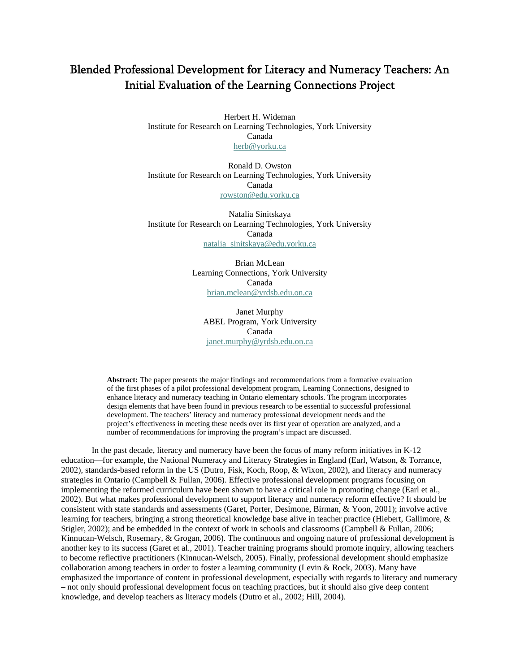# Blended Professional Development for Literacy and Numeracy Teachers: An Initial Evaluation of the Learning Connections Project

Herbert H. Wideman Institute for Research on Learning Technologies, York University Canada [herb@yorku.ca](mailto:herb@yorku.ca)

Ronald D. Owston Institute for Research on Learning Technologies, York University Canada [rowston@edu.yorku.ca](mailto:rowston@edu.yorku.ca)

Natalia Sinitskaya Institute for Research on Learning Technologies, York University Canada [natalia\\_sinitskaya@edu.yorku.ca](mailto:natalia_sinitskaya@edu.yorku.ca)

> Brian McLean Learning Connections, York University Canada [brian.mclean@yrdsb.edu.on.ca](mailto:brian.mclean@yrdsb.edu.on.ca)

Janet Murphy ABEL Program, York University Canada [janet.murphy@yrdsb.edu.on.ca](mailto:janet.murphy@yrdsb.edu.on.ca)

**Abstract:** The paper presents the major findings and recommendations from a formative evaluation of the first phases of a pilot professional development program, Learning Connections, designed to enhance literacy and numeracy teaching in Ontario elementary schools. The program incorporates design elements that have been found in previous research to be essential to successful professional development. The teachers' literacy and numeracy professional development needs and the project's effectiveness in meeting these needs over its first year of operation are analyzed, and a number of recommendations for improving the program's impact are discussed.

In the past decade, literacy and numeracy have been the focus of many reform initiatives in K-12 education—for example, the National Numeracy and Literacy Strategies in England (Earl, Watson, & Torrance, 2002), standards-based reform in the US (Dutro, Fisk, Koch, Roop, & Wixon, 2002), and literacy and numeracy strategies in Ontario (Campbell & Fullan, 2006). Effective professional development programs focusing on implementing the reformed curriculum have been shown to have a critical role in promoting change (Earl et al., 2002). But what makes professional development to support literacy and numeracy reform effective? It should be consistent with state standards and assessments (Garet, Porter, Desimone, Birman, & Yoon, 2001); involve active learning for teachers, bringing a strong theoretical knowledge base alive in teacher practice (Hiebert, Gallimore, & Stigler, 2002); and be embedded in the context of work in schools and classrooms (Campbell & Fullan, 2006; Kinnucan-Welsch, Rosemary, & Grogan, 2006). The continuous and ongoing nature of professional development is another key to its success (Garet et al., 2001). Teacher training programs should promote inquiry, allowing teachers to become reflective practitioners (Kinnucan-Welsch, 2005). Finally, professional development should emphasize collaboration among teachers in order to foster a learning community (Levin & Rock, 2003). Many have emphasized the importance of content in professional development, especially with regards to literacy and numeracy – not only should professional development focus on teaching practices, but it should also give deep content knowledge, and develop teachers as literacy models (Dutro et al., 2002; Hill, 2004).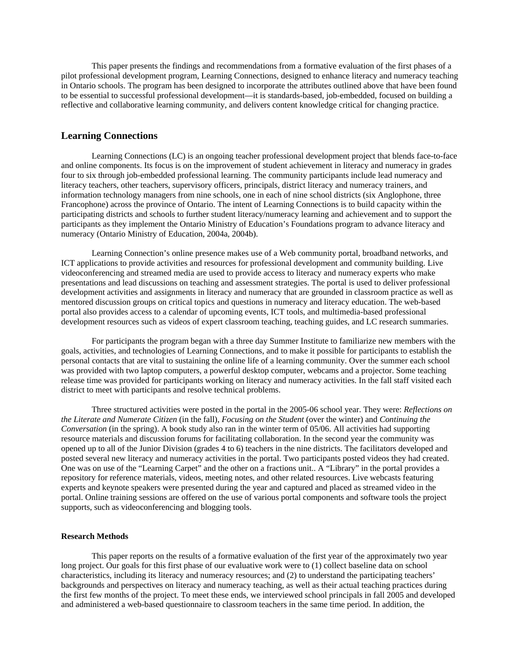This paper presents the findings and recommendations from a formative evaluation of the first phases of a pilot professional development program, Learning Connections, designed to enhance literacy and numeracy teaching in Ontario schools. The program has been designed to incorporate the attributes outlined above that have been found to be essential to successful professional development—it is standards-based, job-embedded, focused on building a reflective and collaborative learning community, and delivers content knowledge critical for changing practice.

# **Learning Connections**

Learning Connections (LC) is an ongoing teacher professional development project that blends face-to-face and online components. Its focus is on the improvement of student achievement in literacy and numeracy in grades four to six through job-embedded professional learning. The community participants include lead numeracy and literacy teachers, other teachers, supervisory officers, principals, district literacy and numeracy trainers, and information technology managers from nine schools, one in each of nine school districts (six Anglophone, three Francophone) across the province of Ontario. The intent of Learning Connections is to build capacity within the participating districts and schools to further student literacy/numeracy learning and achievement and to support the participants as they implement the Ontario Ministry of Education's Foundations program to advance literacy and numeracy (Ontario Ministry of Education, 2004a, 2004b).

Learning Connection's online presence makes use of a Web community portal, broadband networks, and ICT applications to provide activities and resources for professional development and community building. Live videoconferencing and streamed media are used to provide access to literacy and numeracy experts who make presentations and lead discussions on teaching and assessment strategies. The portal is used to deliver professional development activities and assignments in literacy and numeracy that are grounded in classroom practice as well as mentored discussion groups on critical topics and questions in numeracy and literacy education. The web-based portal also provides access to a calendar of upcoming events, ICT tools, and multimedia-based professional development resources such as videos of expert classroom teaching, teaching guides, and LC research summaries.

For participants the program began with a three day Summer Institute to familiarize new members with the goals, activities, and technologies of Learning Connections, and to make it possible for participants to establish the personal contacts that are vital to sustaining the online life of a learning community. Over the summer each school was provided with two laptop computers, a powerful desktop computer, webcams and a projector. Some teaching release time was provided for participants working on literacy and numeracy activities. In the fall staff visited each district to meet with participants and resolve technical problems.

Three structured activities were posted in the portal in the 2005-06 school year. They were: *Reflections on the Literate and Numerate Citizen* (in the fall), *Focusing on the Student* (over the winter) and *Continuing the Conversation* (in the spring). A book study also ran in the winter term of 05/06. All activities had supporting resource materials and discussion forums for facilitating collaboration. In the second year the community was opened up to all of the Junior Division (grades 4 to 6) teachers in the nine districts. The facilitators developed and posted several new literacy and numeracy activities in the portal. Two participants posted videos they had created. One was on use of the "Learning Carpet" and the other on a fractions unit.. A "Library" in the portal provides a repository for reference materials, videos, meeting notes, and other related resources. Live webcasts featuring experts and keynote speakers were presented during the year and captured and placed as streamed video in the portal. Online training sessions are offered on the use of various portal components and software tools the project supports, such as videoconferencing and blogging tools.

#### **Research Methods**

This paper reports on the results of a formative evaluation of the first year of the approximately two year long project. Our goals for this first phase of our evaluative work were to (1) collect baseline data on school characteristics, including its literacy and numeracy resources; and (2) to understand the participating teachers' backgrounds and perspectives on literacy and numeracy teaching, as well as their actual teaching practices during the first few months of the project. To meet these ends, we interviewed school principals in fall 2005 and developed and administered a web-based questionnaire to classroom teachers in the same time period. In addition, the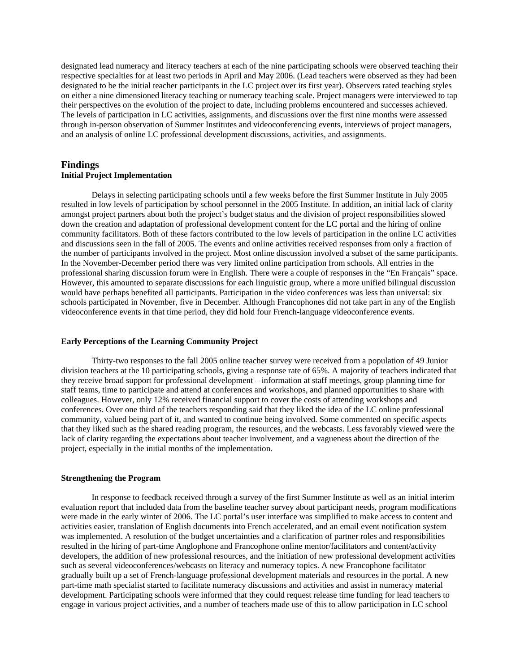designated lead numeracy and literacy teachers at each of the nine participating schools were observed teaching their respective specialties for at least two periods in April and May 2006. (Lead teachers were observed as they had been designated to be the initial teacher participants in the LC project over its first year). Observers rated teaching styles on either a nine dimensioned literacy teaching or numeracy teaching scale. Project managers were interviewed to tap their perspectives on the evolution of the project to date, including problems encountered and successes achieved. The levels of participation in LC activities, assignments, and discussions over the first nine months were assessed through in-person observation of Summer Institutes and videoconferencing events, interviews of project managers, and an analysis of online LC professional development discussions, activities, and assignments.

# **Findings**

### **Initial Project Implementation**

Delays in selecting participating schools until a few weeks before the first Summer Institute in July 2005 resulted in low levels of participation by school personnel in the 2005 Institute. In addition, an initial lack of clarity amongst project partners about both the project's budget status and the division of project responsibilities slowed down the creation and adaptation of professional development content for the LC portal and the hiring of online community facilitators. Both of these factors contributed to the low levels of participation in the online LC activities and discussions seen in the fall of 2005. The events and online activities received responses from only a fraction of the number of participants involved in the project. Most online discussion involved a subset of the same participants. In the November-December period there was very limited online participation from schools. All entries in the professional sharing discussion forum were in English. There were a couple of responses in the "En Français" space. However, this amounted to separate discussions for each linguistic group, where a more unified bilingual discussion would have perhaps benefited all participants. Participation in the video conferences was less than universal: six schools participated in November, five in December. Although Francophones did not take part in any of the English videoconference events in that time period, they did hold four French-language videoconference events.

#### **Early Perceptions of the Learning Community Project**

Thirty-two responses to the fall 2005 online teacher survey were received from a population of 49 Junior division teachers at the 10 participating schools, giving a response rate of 65%. A majority of teachers indicated that they receive broad support for professional development – information at staff meetings, group planning time for staff teams, time to participate and attend at conferences and workshops, and planned opportunities to share with colleagues. However, only 12% received financial support to cover the costs of attending workshops and conferences. Over one third of the teachers responding said that they liked the idea of the LC online professional community, valued being part of it, and wanted to continue being involved. Some commented on specific aspects that they liked such as the shared reading program, the resources, and the webcasts. Less favorably viewed were the lack of clarity regarding the expectations about teacher involvement, and a vagueness about the direction of the project, especially in the initial months of the implementation.

#### **Strengthening the Program**

In response to feedback received through a survey of the first Summer Institute as well as an initial interim evaluation report that included data from the baseline teacher survey about participant needs, program modifications were made in the early winter of 2006. The LC portal's user interface was simplified to make access to content and activities easier, translation of English documents into French accelerated, and an email event notification system was implemented. A resolution of the budget uncertainties and a clarification of partner roles and responsibilities resulted in the hiring of part-time Anglophone and Francophone online mentor/facilitators and content/activity developers, the addition of new professional resources, and the initiation of new professional development activities such as several videoconferences/webcasts on literacy and numeracy topics. A new Francophone facilitator gradually built up a set of French-language professional development materials and resources in the portal. A new part-time math specialist started to facilitate numeracy discussions and activities and assist in numeracy material development. Participating schools were informed that they could request release time funding for lead teachers to engage in various project activities, and a number of teachers made use of this to allow participation in LC school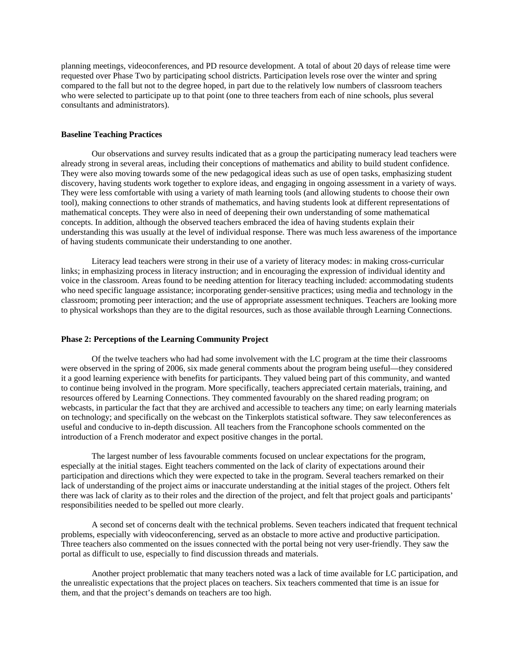planning meetings, videoconferences, and PD resource development. A total of about 20 days of release time were requested over Phase Two by participating school districts. Participation levels rose over the winter and spring compared to the fall but not to the degree hoped, in part due to the relatively low numbers of classroom teachers who were selected to participate up to that point (one to three teachers from each of nine schools, plus several consultants and administrators).

#### **Baseline Teaching Practices**

Our observations and survey results indicated that as a group the participating numeracy lead teachers were already strong in several areas, including their conceptions of mathematics and ability to build student confidence. They were also moving towards some of the new pedagogical ideas such as use of open tasks, emphasizing student discovery, having students work together to explore ideas, and engaging in ongoing assessment in a variety of ways. They were less comfortable with using a variety of math learning tools (and allowing students to choose their own tool), making connections to other strands of mathematics, and having students look at different representations of mathematical concepts. They were also in need of deepening their own understanding of some mathematical concepts. In addition, although the observed teachers embraced the idea of having students explain their understanding this was usually at the level of individual response. There was much less awareness of the importance of having students communicate their understanding to one another.

Literacy lead teachers were strong in their use of a variety of literacy modes: in making cross-curricular links; in emphasizing process in literacy instruction; and in encouraging the expression of individual identity and voice in the classroom. Areas found to be needing attention for literacy teaching included: accommodating students who need specific language assistance; incorporating gender-sensitive practices; using media and technology in the classroom; promoting peer interaction; and the use of appropriate assessment techniques. Teachers are looking more to physical workshops than they are to the digital resources, such as those available through Learning Connections.

#### **Phase 2: Perceptions of the Learning Community Project**

Of the twelve teachers who had had some involvement with the LC program at the time their classrooms were observed in the spring of 2006, six made general comments about the program being useful—they considered it a good learning experience with benefits for participants. They valued being part of this community, and wanted to continue being involved in the program. More specifically, teachers appreciated certain materials, training, and resources offered by Learning Connections. They commented favourably on the shared reading program; on webcasts, in particular the fact that they are archived and accessible to teachers any time; on early learning materials on technology; and specifically on the webcast on the Tinkerplots statistical software. They saw teleconferences as useful and conducive to in-depth discussion. All teachers from the Francophone schools commented on the introduction of a French moderator and expect positive changes in the portal.

The largest number of less favourable comments focused on unclear expectations for the program, especially at the initial stages. Eight teachers commented on the lack of clarity of expectations around their participation and directions which they were expected to take in the program. Several teachers remarked on their lack of understanding of the project aims or inaccurate understanding at the initial stages of the project. Others felt there was lack of clarity as to their roles and the direction of the project, and felt that project goals and participants' responsibilities needed to be spelled out more clearly.

A second set of concerns dealt with the technical problems. Seven teachers indicated that frequent technical problems, especially with videoconferencing, served as an obstacle to more active and productive participation. Three teachers also commented on the issues connected with the portal being not very user-friendly. They saw the portal as difficult to use, especially to find discussion threads and materials.

Another project problematic that many teachers noted was a lack of time available for LC participation, and the unrealistic expectations that the project places on teachers. Six teachers commented that time is an issue for them, and that the project's demands on teachers are too high.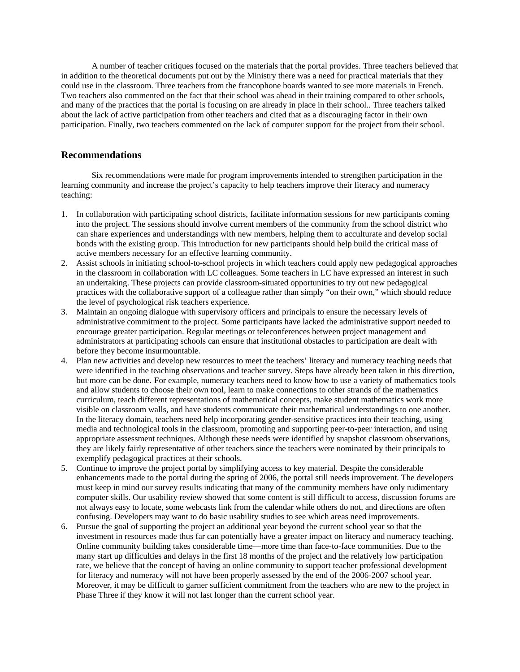A number of teacher critiques focused on the materials that the portal provides. Three teachers believed that in addition to the theoretical documents put out by the Ministry there was a need for practical materials that they could use in the classroom. Three teachers from the francophone boards wanted to see more materials in French. Two teachers also commented on the fact that their school was ahead in their training compared to other schools, and many of the practices that the portal is focusing on are already in place in their school.. Three teachers talked about the lack of active participation from other teachers and cited that as a discouraging factor in their own participation. Finally, two teachers commented on the lack of computer support for the project from their school.

# **Recommendations**

Six recommendations were made for program improvements intended to strengthen participation in the learning community and increase the project's capacity to help teachers improve their literacy and numeracy teaching:

- 1. In collaboration with participating school districts, facilitate information sessions for new participants coming into the project. The sessions should involve current members of the community from the school district who can share experiences and understandings with new members, helping them to acculturate and develop social bonds with the existing group. This introduction for new participants should help build the critical mass of active members necessary for an effective learning community.
- 2. Assist schools in initiating school-to-school projects in which teachers could apply new pedagogical approaches in the classroom in collaboration with LC colleagues. Some teachers in LC have expressed an interest in such an undertaking. These projects can provide classroom-situated opportunities to try out new pedagogical practices with the collaborative support of a colleague rather than simply "on their own," which should reduce the level of psychological risk teachers experience.
- 3. Maintain an ongoing dialogue with supervisory officers and principals to ensure the necessary levels of administrative commitment to the project. Some participants have lacked the administrative support needed to encourage greater participation. Regular meetings or teleconferences between project management and administrators at participating schools can ensure that institutional obstacles to participation are dealt with before they become insurmountable.
- 4. Plan new activities and develop new resources to meet the teachers' literacy and numeracy teaching needs that were identified in the teaching observations and teacher survey. Steps have already been taken in this direction, but more can be done. For example, numeracy teachers need to know how to use a variety of mathematics tools and allow students to choose their own tool, learn to make connections to other strands of the mathematics curriculum, teach different representations of mathematical concepts, make student mathematics work more visible on classroom walls, and have students communicate their mathematical understandings to one another. In the literacy domain, teachers need help incorporating gender-sensitive practices into their teaching, using media and technological tools in the classroom, promoting and supporting peer-to-peer interaction, and using appropriate assessment techniques. Although these needs were identified by snapshot classroom observations, they are likely fairly representative of other teachers since the teachers were nominated by their principals to exemplify pedagogical practices at their schools.
- 5. Continue to improve the project portal by simplifying access to key material. Despite the considerable enhancements made to the portal during the spring of 2006, the portal still needs improvement. The developers must keep in mind our survey results indicating that many of the community members have only rudimentary computer skills. Our usability review showed that some content is still difficult to access, discussion forums are not always easy to locate, some webcasts link from the calendar while others do not, and directions are often confusing. Developers may want to do basic usability studies to see which areas need improvements.
- 6. Pursue the goal of supporting the project an additional year beyond the current school year so that the investment in resources made thus far can potentially have a greater impact on literacy and numeracy teaching. Online community building takes considerable time—more time than face-to-face communities. Due to the many start up difficulties and delays in the first 18 months of the project and the relatively low participation rate, we believe that the concept of having an online community to support teacher professional development for literacy and numeracy will not have been properly assessed by the end of the 2006-2007 school year. Moreover, it may be difficult to garner sufficient commitment from the teachers who are new to the project in Phase Three if they know it will not last longer than the current school year.